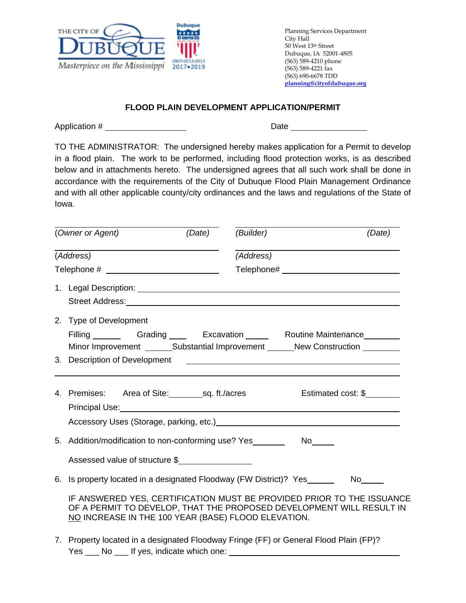

Planning Services Department City Hall 50 West 13th Street Dubuque, IA 52001-4805 (563) 589-4210 phone (563) 589-4221 fax (563) 690-6678 TDD **planning@cityofdubuque.org**

## **FLOOD PLAIN DEVELOPMENT APPLICATION/PERMIT**

Application # Date

TO THE ADMINISTRATOR: The undersigned hereby makes application for a Permit to develop in a flood plain. The work to be performed, including flood protection works, is as described below and in attachments hereto. The undersigned agrees that all such work shall be done in accordance with the requirements of the City of Dubuque Flood Plain Management Ordinance and with all other applicable county/city ordinances and the laws and regulations of the State of Iowa.

|           | (Owner or Agent)<br>(Date) (Builder)                                                                                                                                                                                                                                                                                                                                          |           |                    | (Date) |
|-----------|-------------------------------------------------------------------------------------------------------------------------------------------------------------------------------------------------------------------------------------------------------------------------------------------------------------------------------------------------------------------------------|-----------|--------------------|--------|
| (Address) |                                                                                                                                                                                                                                                                                                                                                                               | (Address) |                    |        |
|           |                                                                                                                                                                                                                                                                                                                                                                               |           |                    |        |
|           | Street Address: Note and the street of the street and the street and the street and the street and the street                                                                                                                                                                                                                                                                 |           |                    |        |
|           | 2. Type of Development<br>Filling _________ Grading _____ Excavation ______ Routine Maintenance ________<br>Minor Improvement ________Substantial Improvement _______New Construction ________                                                                                                                                                                                |           |                    |        |
|           |                                                                                                                                                                                                                                                                                                                                                                               |           |                    |        |
|           | 4. Premises: Area of Site: sq. ft./acres<br>Principal Use: <u>New York: New York: New York: New York: New York: New York: New York: New York: New York: New York: New York: New York: New York: New York: New York: New York: New York: New York: New York: New York: New Yo</u><br>Accessory Uses (Storage, parking, etc.)<br><u>Accessory</u> Uses (Storage, parking, etc.) |           | Estimated cost: \$ |        |
|           | 5. Addition/modification to non-conforming use? Yes _________ No_____<br>Assessed value of structure \$                                                                                                                                                                                                                                                                       |           |                    |        |
|           | 6. Is property located in a designated Floodway (FW District)? Yes _______ No_____<br>IF ANSWERED YES, CERTIFICATION MUST BE PROVIDED PRIOR TO THE ISSUANCE<br>OF A PERMIT TO DEVELOP, THAT THE PROPOSED DEVELOPMENT WILL RESULT IN<br>NO INCREASE IN THE 100 YEAR (BASE) FLOOD ELEVATION.                                                                                    |           |                    |        |
|           | 7. Property located in a designated Floodway Fringe (FF) or General Flood Plain (FP)?                                                                                                                                                                                                                                                                                         |           |                    |        |

Yes \_\_\_ No \_\_\_ If yes, indicate which one: \_\_\_\_\_\_\_\_\_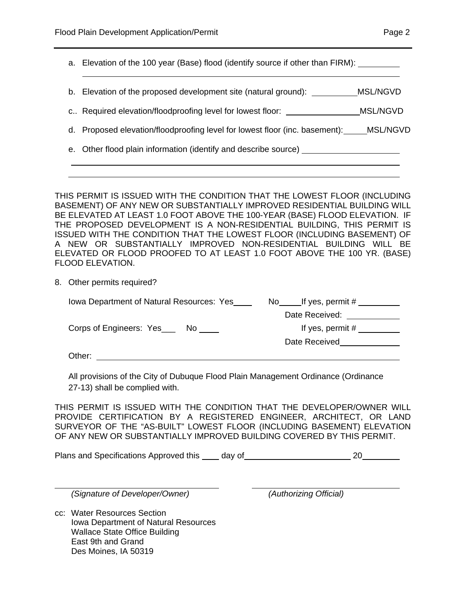a. Elevation of the 100 year (Base) flood (identify source if other than FIRM): b. Elevation of the proposed development site (natural ground): \_\_\_\_\_\_\_\_\_\_\_\_MSL/NGVD c.. Required elevation/floodproofing level for lowest floor: MSL/NGVD d. Proposed elevation/floodproofing level for lowest floor (inc. basement): MSL/NGVD e. Other flood plain information (identify and describe source)

THIS PERMIT IS ISSUED WITH THE CONDITION THAT THE LOWEST FLOOR (INCLUDING BASEMENT) OF ANY NEW OR SUBSTANTIALLY IMPROVED RESIDENTIAL BUILDING WILL BE ELEVATED AT LEAST 1.0 FOOT ABOVE THE 100-YEAR (BASE) FLOOD ELEVATION. IF THE PROPOSED DEVELOPMENT IS A NON-RESIDENTIAL BUILDING, THIS PERMIT IS ISSUED WITH THE CONDITION THAT THE LOWEST FLOOR (INCLUDING BASEMENT) OF A NEW OR SUBSTANTIALLY IMPROVED NON-RESIDENTIAL BUILDING WILL BE ELEVATED OR FLOOD PROOFED TO AT LEAST 1.0 FOOT ABOVE THE 100 YR. (BASE) FLOOD ELEVATION.

8. Other permits required?

| lowa Department of Natural Resources: Yes | If yes, permit #<br>No. |
|-------------------------------------------|-------------------------|
|                                           | Date Received:          |
| Corps of Engineers: Yes_____ No           | If yes, permit #        |
|                                           | Date Received           |
| Other:                                    |                         |

All provisions of the City of Dubuque Flood Plain Management Ordinance (Ordinance 27-13) shall be complied with.

THIS PERMIT IS ISSUED WITH THE CONDITION THAT THE DEVELOPER/OWNER WILL PROVIDE CERTIFICATION BY A REGISTERED ENGINEER, ARCHITECT, OR LAND SURVEYOR OF THE "AS-BUILT" LOWEST FLOOR (INCLUDING BASEMENT) ELEVATION OF ANY NEW OR SUBSTANTIALLY IMPROVED BUILDING COVERED BY THIS PERMIT.

Plans and Specifications Approved this day of 20

*(Signature of Developer/Owner) (Authorizing Official)* 

cc: Water Resources Section Iowa Department of Natural Resources Wallace State Office Building East 9th and Grand Des Moines, IA 50319